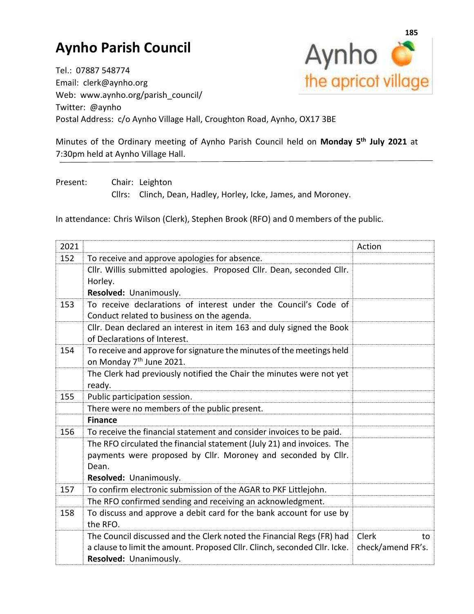## **Aynho Parish Council**



Tel.: 07887 548774 Email: clerk@aynho.org Web: www.aynho.org/parish\_council/ Twitter: @aynho Postal Address: c/o Aynho Village Hall, Croughton Road, Aynho, OX17 3BE

Minutes of the Ordinary meeting of Aynho Parish Council held on **Monday 5 th July 2021** at 7:30pm held at Aynho Village Hall.

Present: Chair: Leighton

Cllrs: Clinch, Dean, Hadley, Horley, Icke, James, and Moroney.

In attendance: Chris Wilson (Clerk), Stephen Brook (RFO) and 0 members of the public.

| 2021 |                                                                                 | Action             |
|------|---------------------------------------------------------------------------------|--------------------|
| 152  | To receive and approve apologies for absence.                                   |                    |
|      | Cllr. Willis submitted apologies. Proposed Cllr. Dean, seconded Cllr.           |                    |
|      | Horley.                                                                         |                    |
|      | Resolved: Unanimously.                                                          |                    |
| 153  | To receive declarations of interest under the Council's Code of                 |                    |
|      | Conduct related to business on the agenda.                                      |                    |
|      | Cllr. Dean declared an interest in item 163 and duly signed the Book            |                    |
|      | of Declarations of Interest.                                                    |                    |
| 154  | To receive and approve for signature the minutes of the meetings held           |                    |
|      | on Monday 7 <sup>th</sup> June 2021.                                            |                    |
|      | The Clerk had previously notified the Chair the minutes were not yet            |                    |
|      | ready.                                                                          |                    |
| 155  | Public participation session.                                                   |                    |
|      | There were no members of the public present.                                    |                    |
|      | <b>Finance</b>                                                                  |                    |
| 156  | To receive the financial statement and consider invoices to be paid.            |                    |
|      | The RFO circulated the financial statement (July 21) and invoices. The          |                    |
|      | payments were proposed by Cllr. Moroney and seconded by Cllr.                   |                    |
|      | Dean.                                                                           |                    |
|      | Resolved: Unanimously.                                                          |                    |
| 157  | To confirm electronic submission of the AGAR to PKF Littlejohn.                 |                    |
|      | The RFO confirmed sending and receiving an acknowledgment.                      |                    |
| 158  | To discuss and approve a debit card for the bank account for use by<br>the RFO. |                    |
|      | The Council discussed and the Clerk noted the Financial Regs (FR) had           | <b>Clerk</b><br>to |
|      | a clause to limit the amount. Proposed Cllr. Clinch, seconded Cllr. Icke.       | check/amend FR's.  |
|      | Resolved: Unanimously.                                                          |                    |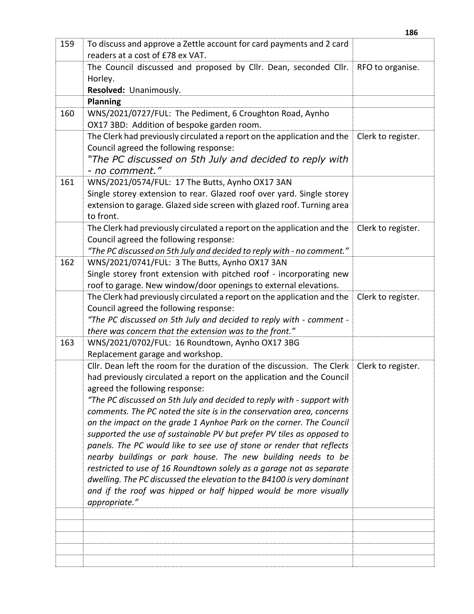| 159 | To discuss and approve a Zettle account for card payments and 2 card<br>readers at a cost of £78 ex VAT.                                   |                    |
|-----|--------------------------------------------------------------------------------------------------------------------------------------------|--------------------|
|     | The Council discussed and proposed by Cllr. Dean, seconded Cllr.                                                                           | RFO to organise.   |
|     | Horley.                                                                                                                                    |                    |
|     | Resolved: Unanimously.                                                                                                                     |                    |
|     | <b>Planning</b>                                                                                                                            |                    |
| 160 | WNS/2021/0727/FUL: The Pediment, 6 Croughton Road, Aynho<br>OX17 3BD: Addition of bespoke garden room.                                     |                    |
|     | The Clerk had previously circulated a report on the application and the                                                                    | Clerk to register. |
|     | Council agreed the following response:                                                                                                     |                    |
|     | "The PC discussed on 5th July and decided to reply with                                                                                    |                    |
|     | - no comment."                                                                                                                             |                    |
| 161 | WNS/2021/0574/FUL: 17 The Butts, Aynho OX17 3AN                                                                                            |                    |
|     | Single storey extension to rear. Glazed roof over yard. Single storey                                                                      |                    |
|     | extension to garage. Glazed side screen with glazed roof. Turning area<br>to front.                                                        |                    |
|     | The Clerk had previously circulated a report on the application and the                                                                    | Clerk to register. |
|     | Council agreed the following response:                                                                                                     |                    |
|     | "The PC discussed on 5th July and decided to reply with - no comment."                                                                     |                    |
| 162 | WNS/2021/0741/FUL: 3 The Butts, Aynho OX17 3AN                                                                                             |                    |
|     | Single storey front extension with pitched roof - incorporating new                                                                        |                    |
|     | roof to garage. New window/door openings to external elevations.                                                                           |                    |
|     | The Clerk had previously circulated a report on the application and the                                                                    | Clerk to register. |
|     | Council agreed the following response:                                                                                                     |                    |
|     | "The PC discussed on 5th July and decided to reply with - comment -                                                                        |                    |
|     | there was concern that the extension was to the front."                                                                                    |                    |
| 163 | WNS/2021/0702/FUL: 16 Roundtown, Aynho OX17 3BG                                                                                            |                    |
|     | Replacement garage and workshop.                                                                                                           |                    |
|     | Cllr. Dean left the room for the duration of the discussion. The Clerk                                                                     | Clerk to register. |
|     | had previously circulated a report on the application and the Council                                                                      |                    |
|     | agreed the following response:                                                                                                             |                    |
|     | "The PC discussed on 5th July and decided to reply with - support with                                                                     |                    |
|     | comments. The PC noted the site is in the conservation area, concerns                                                                      |                    |
|     | on the impact on the grade 1 Aynhoe Park on the corner. The Council                                                                        |                    |
|     | supported the use of sustainable PV but prefer PV tiles as opposed to                                                                      |                    |
|     | panels. The PC would like to see use of stone or render that reflects                                                                      |                    |
|     | nearby buildings or park house. The new building needs to be                                                                               |                    |
|     | restricted to use of 16 Roundtown solely as a garage not as separate                                                                       |                    |
|     | dwelling. The PC discussed the elevation to the B4100 is very dominant<br>and if the roof was hipped or half hipped would be more visually |                    |
|     | appropriate."                                                                                                                              |                    |
|     |                                                                                                                                            |                    |
|     |                                                                                                                                            |                    |
|     |                                                                                                                                            |                    |
|     |                                                                                                                                            |                    |
|     |                                                                                                                                            |                    |
|     |                                                                                                                                            |                    |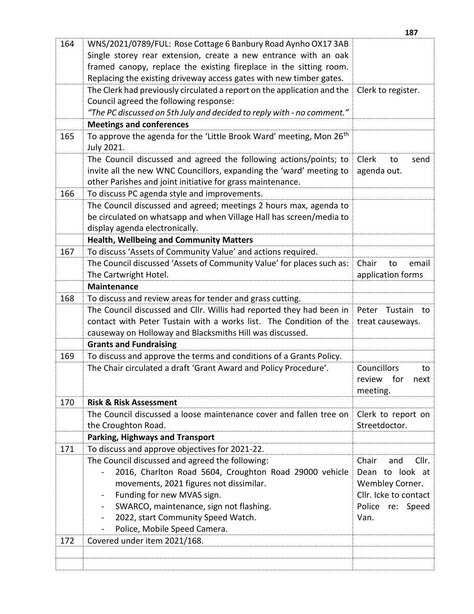|     |                                                                                 | 187                   |
|-----|---------------------------------------------------------------------------------|-----------------------|
| 164 | WNS/2021/0789/FUL: Rose Cottage 6 Banbury Road Aynho OX17 3AB                   |                       |
|     | Single storey rear extension, create a new entrance with an oak                 |                       |
|     | framed canopy, replace the existing fireplace in the sitting room.              |                       |
|     | Replacing the existing driveway access gates with new timber gates.             |                       |
|     | The Clerk had previously circulated a report on the application and the         | Clerk to register.    |
|     | Council agreed the following response:                                          |                       |
|     | "The PC discussed on 5th July and decided to reply with - no comment."          |                       |
|     | <b>Meetings and conferences</b>                                                 |                       |
| 165 | To approve the agenda for the 'Little Brook Ward' meeting, Mon 26 <sup>th</sup> |                       |
|     | July 2021.                                                                      |                       |
|     | The Council discussed and agreed the following actions/points; to               | Clerk<br>to<br>send   |
|     | invite all the new WNC Councillors, expanding the 'ward' meeting to             | agenda out.           |
|     | other Parishes and joint initiative for grass maintenance.                      |                       |
| 166 | To discuss PC agenda style and improvements.                                    |                       |
|     | The Council discussed and agreed; meetings 2 hours max, agenda to               |                       |
|     | be circulated on whatsapp and when Village Hall has screen/media to             |                       |
|     | display agenda electronically.                                                  |                       |
|     | <b>Health, Wellbeing and Community Matters</b>                                  |                       |
| 167 | To discuss 'Assets of Community Value' and actions required.                    |                       |
|     | The Council discussed 'Assets of Community Value' for places such as:           | Chair<br>email<br>to  |
|     | The Cartwright Hotel.                                                           | application forms     |
|     | <b>Maintenance</b>                                                              |                       |
| 168 | To discuss and review areas for tender and grass cutting.                       |                       |
|     | The Council discussed and Cllr. Willis had reported they had been in            | Peter Tustain<br>to   |
|     | contact with Peter Tustain with a works list. The Condition of the              | treat causeways.      |
|     | causeway on Holloway and Blacksmiths Hill was discussed.                        |                       |
|     | <b>Grants and Fundraising</b>                                                   |                       |
| 169 | To discuss and approve the terms and conditions of a Grants Policy.             |                       |
|     | The Chair circulated a draft 'Grant Award and Policy Procedure'.                | Councillors<br>to     |
|     |                                                                                 | review for<br>next    |
|     |                                                                                 | meeting.              |
| 170 | <b>Risk &amp; Risk Assessment</b>                                               |                       |
|     | The Council discussed a loose maintenance cover and fallen tree on              | Clerk to report on    |
|     | the Croughton Road.                                                             | Streetdoctor.         |
|     | <b>Parking, Highways and Transport</b>                                          |                       |
| 171 | To discuss and approve objectives for 2021-22.                                  |                       |
|     | The Council discussed and agreed the following:                                 | Cllr.<br>Chair<br>and |
|     | 2016, Charlton Road 5604, Croughton Road 29000 vehicle                          | Dean to look at       |
|     | movements, 2021 figures not dissimilar.                                         | Wembley Corner.       |
|     | Funding for new MVAS sign.<br>-                                                 | Cllr. Icke to contact |
|     | SWARCO, maintenance, sign not flashing.<br>$\overline{\phantom{0}}$             | Police re: Speed      |
|     | 2022, start Community Speed Watch.<br>-                                         | Van.                  |
|     | Police, Mobile Speed Camera.                                                    |                       |
| 172 | Covered under item 2021/168.                                                    |                       |
|     |                                                                                 |                       |
|     |                                                                                 |                       |